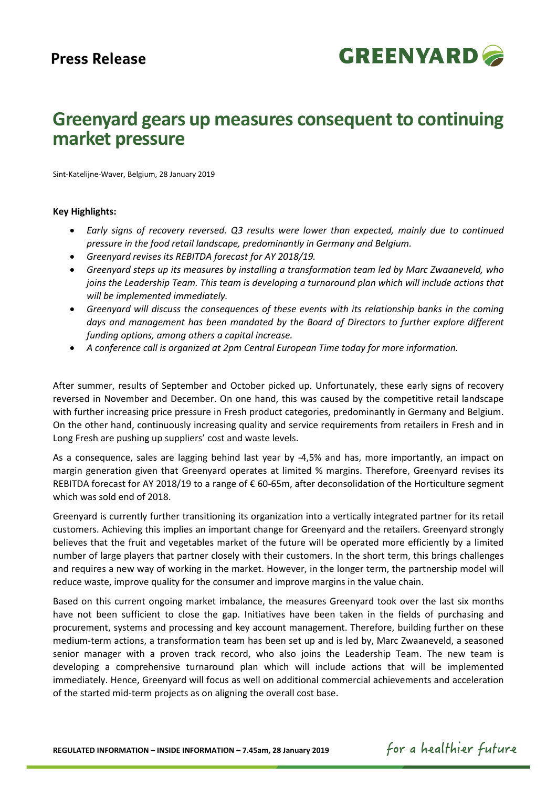

# **Greenyard gears up measures consequent to continuing market pressure**

Sint-Katelijne-Waver, Belgium, 28 January 2019

## **Key Highlights:**

- *Early signs of recovery reversed. Q3 results were lower than expected, mainly due to continued pressure in the food retail landscape, predominantly in Germany and Belgium.*
- *Greenyard revises its REBITDA forecast for AY 2018/19.*
- *Greenyard steps up its measures by installing a transformation team led by Marc Zwaaneveld, who joins the Leadership Team. This team is developing a turnaround plan which will include actions that will be implemented immediately.*
- *Greenyard will discuss the consequences of these events with its relationship banks in the coming days and management has been mandated by the Board of Directors to further explore different funding options, among others a capital increase.*
- *A conference call is organized at 2pm Central European Time today for more information.*

After summer, results of September and October picked up. Unfortunately, these early signs of recovery reversed in November and December. On one hand, this was caused by the competitive retail landscape with further increasing price pressure in Fresh product categories, predominantly in Germany and Belgium. On the other hand, continuously increasing quality and service requirements from retailers in Fresh and in Long Fresh are pushing up suppliers' cost and waste levels.

As a consequence, sales are lagging behind last year by -4,5% and has, more importantly, an impact on margin generation given that Greenyard operates at limited % margins. Therefore, Greenyard revises its REBITDA forecast for AY 2018/19 to a range of € 60-65m, after deconsolidation of the Horticulture segment which was sold end of 2018.

Greenyard is currently further transitioning its organization into a vertically integrated partner for its retail customers. Achieving this implies an important change for Greenyard and the retailers. Greenyard strongly believes that the fruit and vegetables market of the future will be operated more efficiently by a limited number of large players that partner closely with their customers. In the short term, this brings challenges and requires a new way of working in the market. However, in the longer term, the partnership model will reduce waste, improve quality for the consumer and improve margins in the value chain.

Based on this current ongoing market imbalance, the measures Greenyard took over the last six months have not been sufficient to close the gap. Initiatives have been taken in the fields of purchasing and procurement, systems and processing and key account management. Therefore, building further on these medium-term actions, a transformation team has been set up and is led by, Marc Zwaaneveld, a seasoned senior manager with a proven track record, who also joins the Leadership Team. The new team is developing a comprehensive turnaround plan which will include actions that will be implemented immediately. Hence, Greenyard will focus as well on additional commercial achievements and acceleration of the started mid-term projects as on aligning the overall cost base.

for a healthier future